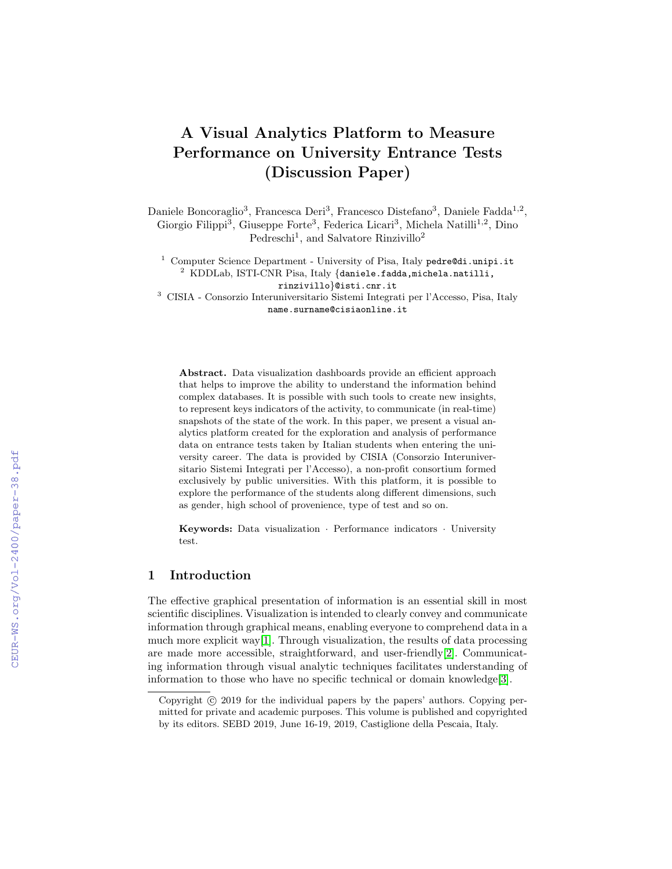# A Visual Analytics Platform to Measure Performance on University Entrance Tests (Discussion Paper)

Daniele Boncoraglio<sup>3</sup>, Francesca Deri<sup>3</sup>, Francesco Distefano<sup>3</sup>, Daniele Fadda<sup>1,2</sup>, Giorgio Filippi<sup>3</sup>, Giuseppe Forte<sup>3</sup>, Federica Licari<sup>3</sup>, Michela Natilli<sup>1,2</sup>, Dino Pedreschi<sup>1</sup>, and Salvatore Rinzivillo<sup>2</sup>

<sup>1</sup> Computer Science Department - University of Pisa, Italy pedre@di.unipi.it <sup>2</sup> KDDLab, ISTI-CNR Pisa, Italy {daniele.fadda,michela.natilli,

rinzivillo}@isti.cnr.it

<sup>3</sup> CISIA - Consorzio Interuniversitario Sistemi Integrati per l'Accesso, Pisa, Italy name.surname@cisiaonline.it

Abstract. Data visualization dashboards provide an efficient approach that helps to improve the ability to understand the information behind complex databases. It is possible with such tools to create new insights, to represent keys indicators of the activity, to communicate (in real-time) snapshots of the state of the work. In this paper, we present a visual analytics platform created for the exploration and analysis of performance data on entrance tests taken by Italian students when entering the university career. The data is provided by CISIA (Consorzio Interuniversitario Sistemi Integrati per l'Accesso), a non-profit consortium formed exclusively by public universities. With this platform, it is possible to explore the performance of the students along different dimensions, such as gender, high school of provenience, type of test and so on.

Keywords: Data visualization · Performance indicators · University test.

## 1 Introduction

The effective graphical presentation of information is an essential skill in most scientific disciplines. Visualization is intended to clearly convey and communicate information through graphical means, enabling everyone to comprehend data in a much more explicit way[\[1\]](#page--1-0). Through visualization, the results of data processing are made more accessible, straightforward, and user-friendly[\[2\]](#page--1-1). Communicating information through visual analytic techniques facilitates understanding of information to those who have no specific technical or domain knowledge[\[3\]](#page--1-2).

Copyright  $\odot$  2019 for the individual papers by the papers' authors. Copying permitted for private and academic purposes. This volume is published and copyrighted by its editors. SEBD 2019, June 16-19, 2019, Castiglione della Pescaia, Italy.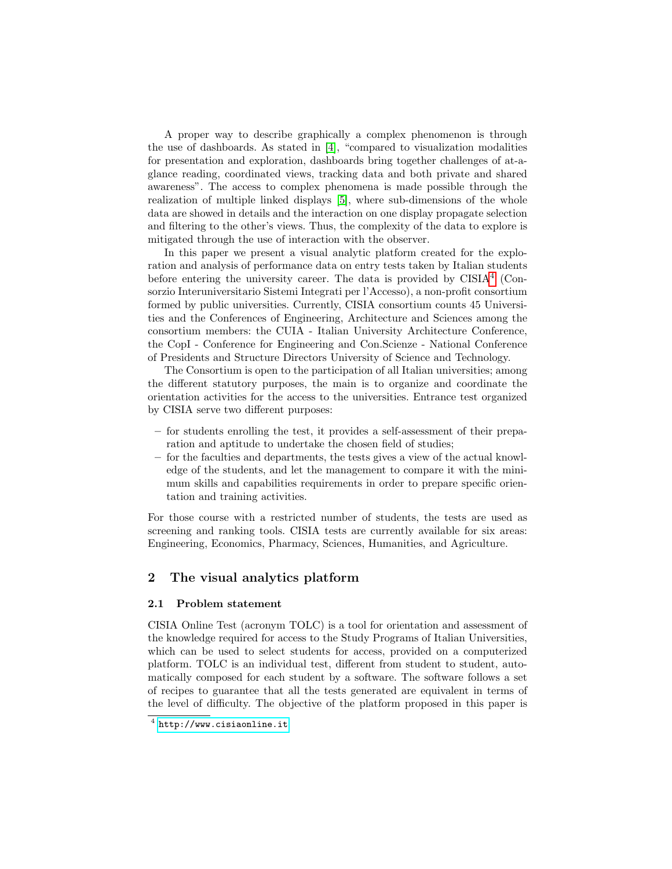A proper way to describe graphically a complex phenomenon is through the use of dashboards. As stated in  $[4]$ , "compared to visualization modalities for presentation and exploration, dashboards bring together challenges of at-aglance reading, coordinated views, tracking data and both private and shared awareness". The access to complex phenomena is made possible through the realization of multiple linked displays [\[5\]](#page-7-1), where sub-dimensions of the whole data are showed in details and the interaction on one display propagate selection and filtering to the other's views. Thus, the complexity of the data to explore is mitigated through the use of interaction with the observer.

In this paper we present a visual analytic platform created for the exploration and analysis of performance data on entry tests taken by Italian students before entering the university career. The data is provided by  $CISIA<sup>4</sup>$  $CISIA<sup>4</sup>$  $CISIA<sup>4</sup>$  (Consorzio Interuniversitario Sistemi Integrati per l'Accesso), a non-profit consortium formed by public universities. Currently, CISIA consortium counts 45 Universities and the Conferences of Engineering, Architecture and Sciences among the consortium members: the CUIA - Italian University Architecture Conference, the CopI - Conference for Engineering and Con.Scienze - National Conference of Presidents and Structure Directors University of Science and Technology.

The Consortium is open to the participation of all Italian universities; among the different statutory purposes, the main is to organize and coordinate the orientation activities for the access to the universities. Entrance test organized by CISIA serve two different purposes:

- for students enrolling the test, it provides a self-assessment of their preparation and aptitude to undertake the chosen field of studies;
- for the faculties and departments, the tests gives a view of the actual knowledge of the students, and let the management to compare it with the minimum skills and capabilities requirements in order to prepare specific orientation and training activities.

For those course with a restricted number of students, the tests are used as screening and ranking tools. CISIA tests are currently available for six areas: Engineering, Economics, Pharmacy, Sciences, Humanities, and Agriculture.

## 2 The visual analytics platform

## 2.1 Problem statement

CISIA Online Test (acronym TOLC) is a tool for orientation and assessment of the knowledge required for access to the Study Programs of Italian Universities, which can be used to select students for access, provided on a computerized platform. TOLC is an individual test, different from student to student, automatically composed for each student by a software. The software follows a set of recipes to guarantee that all the tests generated are equivalent in terms of the level of difficulty. The objective of the platform proposed in this paper is

<span id="page-1-0"></span> $^4$  <http://www.cisiaonline.it>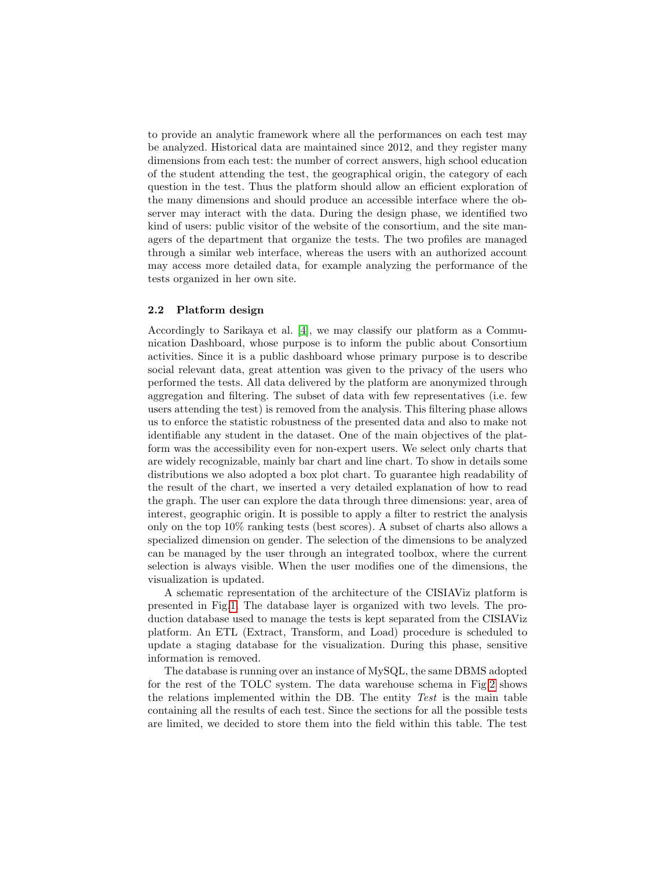to provide an analytic framework where all the performances on each test may be analyzed. Historical data are maintained since 2012, and they register many dimensions from each test: the number of correct answers, high school education of the student attending the test, the geographical origin, the category of each question in the test. Thus the platform should allow an efficient exploration of the many dimensions and should produce an accessible interface where the observer may interact with the data. During the design phase, we identified two kind of users: public visitor of the website of the consortium, and the site managers of the department that organize the tests. The two profiles are managed through a similar web interface, whereas the users with an authorized account may access more detailed data, for example analyzing the performance of the tests organized in her own site.

### 2.2 Platform design

Accordingly to Sarikaya et al. [\[4\]](#page-7-0), we may classify our platform as a Communication Dashboard, whose purpose is to inform the public about Consortium activities. Since it is a public dashboard whose primary purpose is to describe social relevant data, great attention was given to the privacy of the users who performed the tests. All data delivered by the platform are anonymized through aggregation and filtering. The subset of data with few representatives (i.e. few users attending the test) is removed from the analysis. This filtering phase allows us to enforce the statistic robustness of the presented data and also to make not identifiable any student in the dataset. One of the main objectives of the platform was the accessibility even for non-expert users. We select only charts that are widely recognizable, mainly bar chart and line chart. To show in details some distributions we also adopted a box plot chart. To guarantee high readability of the result of the chart, we inserted a very detailed explanation of how to read the graph. The user can explore the data through three dimensions: year, area of interest, geographic origin. It is possible to apply a filter to restrict the analysis only on the top 10% ranking tests (best scores). A subset of charts also allows a specialized dimension on gender. The selection of the dimensions to be analyzed can be managed by the user through an integrated toolbox, where the current selection is always visible. When the user modifies one of the dimensions, the visualization is updated.

A schematic representation of the architecture of the CISIAViz platform is presented in Fig[.1.](#page-3-0) The database layer is organized with two levels. The production database used to manage the tests is kept separated from the CISIAViz platform. An ETL (Extract, Transform, and Load) procedure is scheduled to update a staging database for the visualization. During this phase, sensitive information is removed.

The database is running over an instance of MySQL, the same DBMS adopted for the rest of the TOLC system. The data warehouse schema in Fig[.2](#page-3-1) shows the relations implemented within the DB. The entity Test is the main table containing all the results of each test. Since the sections for all the possible tests are limited, we decided to store them into the field within this table. The test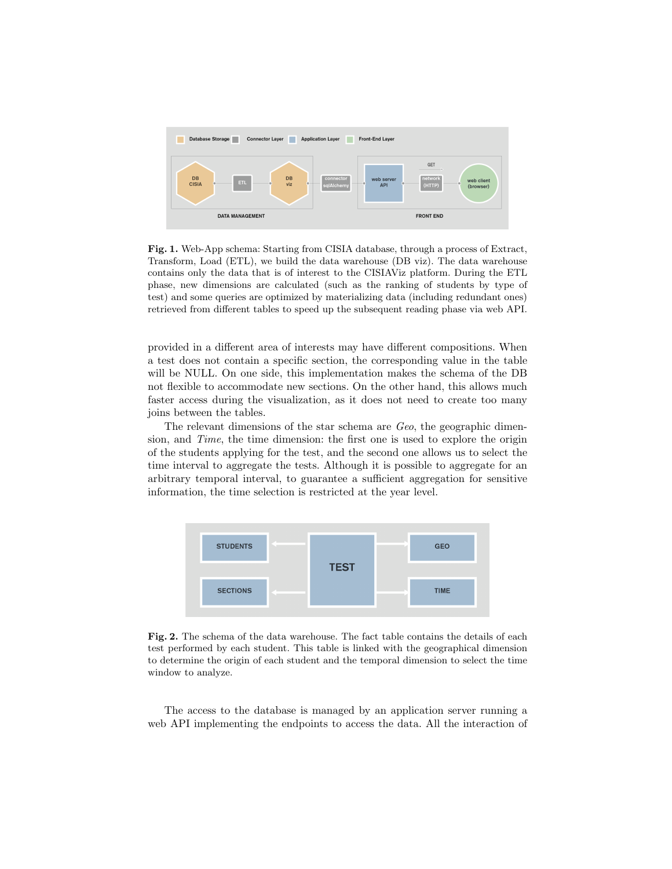

<span id="page-3-0"></span>Fig. 1. Web-App schema: Starting from CISIA database, through a process of Extract, Transform, Load (ETL), we build the data warehouse (DB viz). The data warehouse contains only the data that is of interest to the CISIAViz platform. During the ETL phase, new dimensions are calculated (such as the ranking of students by type of test) and some queries are optimized by materializing data (including redundant ones) retrieved from different tables to speed up the subsequent reading phase via web API.

provided in a different area of interests may have different compositions. When a test does not contain a specific section, the corresponding value in the table will be NULL. On one side, this implementation makes the schema of the DB not flexible to accommodate new sections. On the other hand, this allows much faster access during the visualization, as it does not need to create too many joins between the tables.

The relevant dimensions of the star schema are Geo, the geographic dimension, and Time, the time dimension: the first one is used to explore the origin of the students applying for the test, and the second one allows us to select the time interval to aggregate the tests. Although it is possible to aggregate for an arbitrary temporal interval, to guarantee a sufficient aggregation for sensitive information, the time selection is restricted at the year level.



<span id="page-3-1"></span>Fig. 2. The schema of the data warehouse. The fact table contains the details of each test performed by each student. This table is linked with the geographical dimension to determine the origin of each student and the temporal dimension to select the time window to analyze.

The access to the database is managed by an application server running a web API implementing the endpoints to access the data. All the interaction of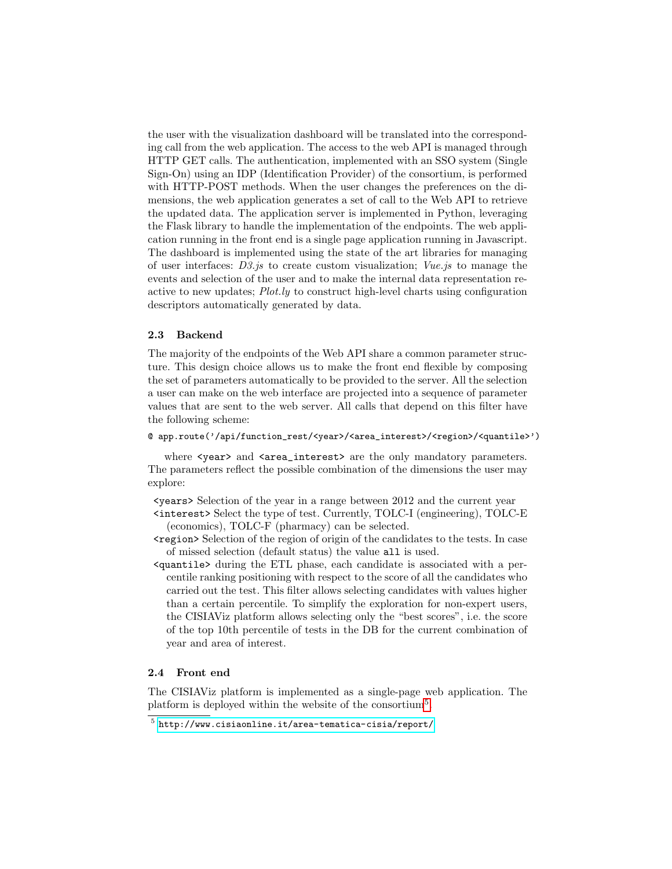the user with the visualization dashboard will be translated into the corresponding call from the web application. The access to the web API is managed through HTTP GET calls. The authentication, implemented with an SSO system (Single Sign-On) using an IDP (Identification Provider) of the consortium, is performed with HTTP-POST methods. When the user changes the preferences on the dimensions, the web application generates a set of call to the Web API to retrieve the updated data. The application server is implemented in Python, leveraging the Flask library to handle the implementation of the endpoints. The web application running in the front end is a single page application running in Javascript. The dashboard is implemented using the state of the art libraries for managing of user interfaces: D3.js to create custom visualization; Vue.js to manage the events and selection of the user and to make the internal data representation reactive to new updates; Plot.ly to construct high-level charts using configuration descriptors automatically generated by data.

#### 2.3 Backend

The majority of the endpoints of the Web API share a common parameter structure. This design choice allows us to make the front end flexible by composing the set of parameters automatically to be provided to the server. All the selection a user can make on the web interface are projected into a sequence of parameter values that are sent to the web server. All calls that depend on this filter have the following scheme:

#### @ app.route('/api/function\_rest/<year>/<area\_interest>/<region>/<quantile>')

where  $\langle \text{year} \rangle$  and  $\langle \text{area} \rangle$  interest are the only mandatory parameters. The parameters reflect the possible combination of the dimensions the user may explore:

 $\epsilon$  vears Selection of the year in a range between 2012 and the current year <interest> Select the type of test. Currently, TOLC-I (engineering), TOLC-E (economics), TOLC-F (pharmacy) can be selected.

- <region> Selection of the region of origin of the candidates to the tests. In case of missed selection (default status) the value all is used.
- <quantile> during the ETL phase, each candidate is associated with a percentile ranking positioning with respect to the score of all the candidates who carried out the test. This filter allows selecting candidates with values higher than a certain percentile. To simplify the exploration for non-expert users, the CISIAViz platform allows selecting only the "best scores", i.e. the score of the top 10th percentile of tests in the DB for the current combination of year and area of interest.

## 2.4 Front end

The CISIAViz platform is implemented as a single-page web application. The platform is deployed within the website of the consortium<sup>[5](#page-4-0)</sup>.

<span id="page-4-0"></span> $^5$  <http://www.cisiaonline.it/area-tematica-cisia/report/>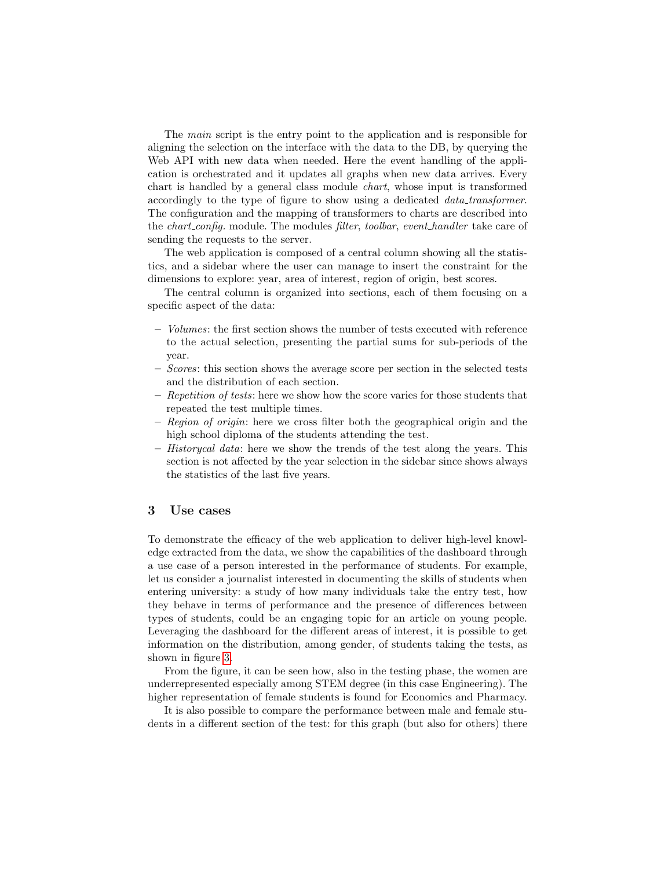The main script is the entry point to the application and is responsible for aligning the selection on the interface with the data to the DB, by querying the Web API with new data when needed. Here the event handling of the application is orchestrated and it updates all graphs when new data arrives. Every chart is handled by a general class module chart, whose input is transformed accordingly to the type of figure to show using a dedicated data transformer. The configuration and the mapping of transformers to charts are described into the *chart\_config.* module. The modules *filter, toolbar, event\_handler* take care of sending the requests to the server.

The web application is composed of a central column showing all the statistics, and a sidebar where the user can manage to insert the constraint for the dimensions to explore: year, area of interest, region of origin, best scores.

The central column is organized into sections, each of them focusing on a specific aspect of the data:

- Volumes: the first section shows the number of tests executed with reference to the actual selection, presenting the partial sums for sub-periods of the year.
- Scores: this section shows the average score per section in the selected tests and the distribution of each section.
- $-$  Repetition of tests: here we show how the score varies for those students that repeated the test multiple times.
- Region of origin: here we cross filter both the geographical origin and the high school diploma of the students attending the test.
- $-$  Historycal data: here we show the trends of the test along the years. This section is not affected by the year selection in the sidebar since shows always the statistics of the last five years.

#### 3 Use cases

To demonstrate the efficacy of the web application to deliver high-level knowledge extracted from the data, we show the capabilities of the dashboard through a use case of a person interested in the performance of students. For example, let us consider a journalist interested in documenting the skills of students when entering university: a study of how many individuals take the entry test, how they behave in terms of performance and the presence of differences between types of students, could be an engaging topic for an article on young people. Leveraging the dashboard for the different areas of interest, it is possible to get information on the distribution, among gender, of students taking the tests, as shown in figure [3.](#page-6-0)

From the figure, it can be seen how, also in the testing phase, the women are underrepresented especially among STEM degree (in this case Engineering). The higher representation of female students is found for Economics and Pharmacy.

It is also possible to compare the performance between male and female students in a different section of the test: for this graph (but also for others) there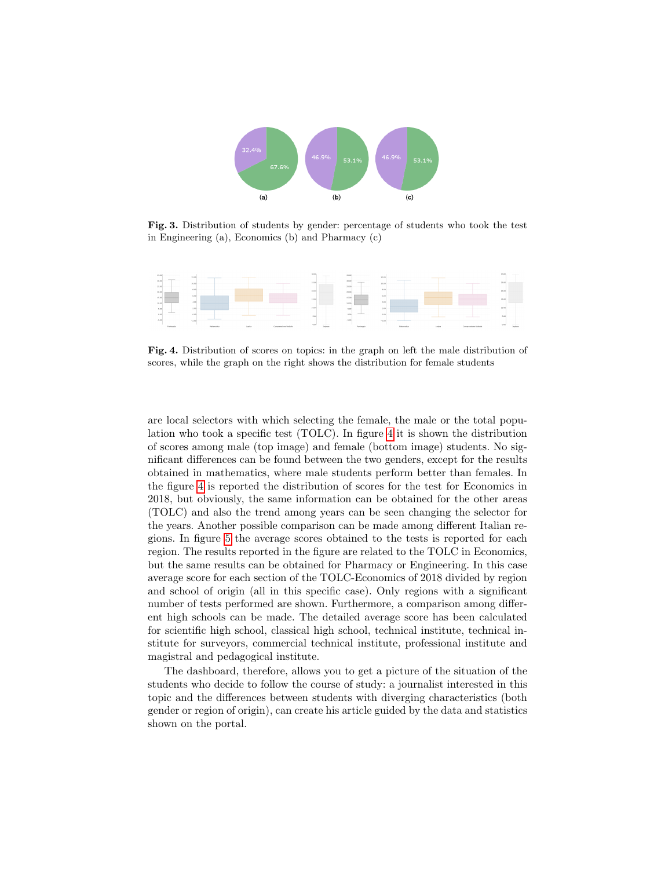

<span id="page-6-0"></span>Fig. 3. Distribution of students by gender: percentage of students who took the test in Engineering (a), Economics (b) and Pharmacy (c)



<span id="page-6-1"></span>Fig. 4. Distribution of scores on topics: in the graph on left the male distribution of scores, while the graph on the right shows the distribution for female students

are local selectors with which selecting the female, the male or the total population who took a specific test (TOLC). In figure [4](#page-6-1) it is shown the distribution of scores among male (top image) and female (bottom image) students. No significant differences can be found between the two genders, except for the results obtained in mathematics, where male students perform better than females. In the figure [4](#page-6-1) is reported the distribution of scores for the test for Economics in 2018, but obviously, the same information can be obtained for the other areas (TOLC) and also the trend among years can be seen changing the selector for the years. Another possible comparison can be made among different Italian regions. In figure [5](#page-7-2) the average scores obtained to the tests is reported for each region. The results reported in the figure are related to the TOLC in Economics, but the same results can be obtained for Pharmacy or Engineering. In this case average score for each section of the TOLC-Economics of 2018 divided by region and school of origin (all in this specific case). Only regions with a significant number of tests performed are shown. Furthermore, a comparison among different high schools can be made. The detailed average score has been calculated for scientific high school, classical high school, technical institute, technical institute for surveyors, commercial technical institute, professional institute and magistral and pedagogical institute.

The dashboard, therefore, allows you to get a picture of the situation of the students who decide to follow the course of study: a journalist interested in this topic and the differences between students with diverging characteristics (both gender or region of origin), can create his article guided by the data and statistics shown on the portal.